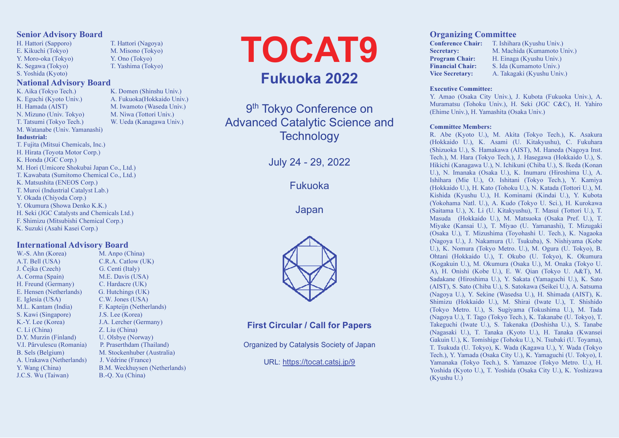#### Senior Advisory Board

H. Hattori (Sapporo) T. Hattori (Nagoya) E. Kikuchi (Tokyo) M. Misono (Tokyo) Y. Moro-oka (Tokyo) Y. Ono (Tokyo) K. Segawa (Tokyo) T. Yashima (Tokyo) S. Yoshida (Kyoto)

# National Advisory Board

K. Aika (Tokyo Tech.) K. Domen (Shinshu Univ.) K. Eguchi (Kyoto Univ.) A. Fukuoka (Hokkaido Univ.) H. Hamada (AIST) M. Iwamoto (Waseda Univ.) N. Mizuno (Univ. Tokyo) M. Niwa (Tottori Univ.) T. Tatsumi (Tokyo Tech.) W. Ueda (Kanagawa Univ.) M. Watanabe (Univ. Yamanashi) Industrial: T. Fujita (Mitsui Chemicals, Inc.) H. Hirata (Toyota Motor Corp.) K. Honda (JGC Corp.) M. Hori (Umicore Shokubai Japan Co., Ltd.) T. Kawabata (Sumitomo Chemical Co., Ltd.) K. Matsushita (ENEOS Corp.) T. Muroi (Industrial Catalyst Lab.) Y. Okada (Chiyoda Corp.) Y. Okumura (Showa Denko K.K.) H. Seki (JGC Catalysts and Chemicals Ltd.) F. Shimizu (Mitsubishi Chemical Corp.) K. Suzuki (Asahi Kasei Corp.)

#### International Advisory Board

W.-S. Ahn (Korea) M. Anpo (China) A.T. Bell (USA) C.R.A. Catlow (UK) J. Čejka (Czech) G. Centi (Italy) A. Corma (Spain) M.E. Davis (USA) H. Freund (Germany) C. Hardacre (UK) E. Hensen (Netherlands) G. Hutchings (UK) E. Iglesia (USA) C.W. Jones (USA) M.L. Kantam (India) F. Kapteijn (Netherlands) S. Kawi (Singapore) J.S. Lee (Korea) K.-Y. Lee (Korea) J.A. Lercher (Germany) C. Li (China) Z. Liu (China) D.Y. Murzin (Finland) U. Olsbye (Norway) V.I. Pârvulescu (Romania) P. Praserthdam (Thailand) B. Sels (Belgium) M. Stockenhuber (Australia) A. Urakawa (Netherlands) J. Védrine (France) Y. Wang (China) B.M. Weckhuysen (Netherlands) J.C.S. Wu (Taiwan) B.-Q. Xu (China)

TOCAT9 Fukuoka 2022

9<sup>th</sup> Tokyo Conference on Advanced Catalytic Science and **Technology** 

July 24 - 29, 2022

Fukuoka

Japan



# First Circular / Call for Papers

Organized by Catalysis Society of Japan

URL: https://tocat.catsj.jp/9

### Organizing Committee

Conference Chair: T. Ishihara (Kyushu Univ.) Secretary: M. Machida (Kumamoto Univ.) Program Chair: H. Einaga (Kyushu Univ.) Financial Chair: S. Ida (Kumamoto Univ.) Vice Secretary: A. Takagaki (Kyushu Univ.)

#### Executive Committee:

Y. Amao (Osaka City Univ.), J. Kubota (Fukuoka Univ.), A. Muramatsu (Tohoku Univ.), H. Seki (JGC C&C), H. Yahiro (Ehime Univ.), H. Yamashita (Osaka Univ.)

#### Committee Members:

R. Abe (Kyoto U.), M. Akita (Tokyo Tech.), K. Asakura (Hokkaido U.), K. Asami (U. Kitakyushu), C. Fukuhara (Shizuoka U.), S. Hamakawa (AIST), M. Haneda (Nagoya Inst. Tech.), M. Hara (Tokyo Tech.), J. Hasegawa (Hokkaido U.), S. Hikichi (Kanagawa U.), N. Ichikuni (Chiba U.), S. Ikeda (Konan U.), N. Imanaka (Osaka U.), K. Inumaru (Hiroshima U.), A. Ishihara (Mie U.), O. Ishitani (Tokyo Tech.), Y. Kamiya (Hokkaido U.), H. Kato (Tohoku U.), N. Katada (Tottori U.), M. Kishida (Kyushu U.), H. Kominami (Kindai U.), Y. Kubota (Yokohama Natl. U.), A. Kudo (Tokyo U. Sci.), H. Kurokawa (Saitama U.), X. Li (U. Kitakyushu), T. Masui (Tottori U.), T. Masuda (Hokkaido U.), M. Matsuoka (Osaka Pref. U.), T. Miyake (Kansai U.), T. Miyao (U. Yamanashi), T. Mizugaki (Osaka U.), T. Mizushima (Toyohashi U. Tech.), K. Nagaoka (Nagoya U.), J. Nakamura (U. Tsukuba), S. Nishiyama (Kobe U.), K. Nomura (Tokyo Metro. U.), M. Ogura (U. Tokyo), B. Ohtani (Hokkaido U.), T. Okubo (U. Tokyo), K. Okumura (Kogakuin U.), M. Okumura (Osaka U.), M. Onaka (Tokyo U. A), H. Onishi (Kobe U.), E. W. Qian (Tokyo U. A&T), M. Sadakane (Hiroshima U.), Y. Sakata (Yamaguchi U.), K. Sato (AIST), S. Sato (Chiba U.), S. Satokawa (Seikei U.), A. Satsuma (Nagoya U.), Y. Sekine (Wasedsa U.), H. Shimada (AIST), K. Shimizu (Hokkaido U.), M. Shirai (Iwate U.), T. Shishido (Tokyo Metro. U.), S. Sugiyama (Tokushima U.), M. Tada (Nagoya U.), T. Tago (Tokyo Tech.), K. Takanabe (U. Tokyo), T. Takeguchi (Iwate U.), S. Takenaka (Doshisha U.), S. Tanabe (Nagasaki U.), T. Tanaka (Kyoto U.), H. Tanaka (Kwansei Gakuin U.), K. Tomishige (Tohoku U.), N. Tsubaki (U. Toyama), T. Tsukuda (U. Tokyo), K. Wada (Kagawa U.), Y. Wada (Tokyo Tech.), Y. Yamada (Osaka City U.), K. Yamaguchi (U. Tokyo), I. Yamanaka (Tokyo Tech.), S. Yamazoe (Tokyo Metro. U.), H. Yoshida (Kyoto U.), T. Yoshida (Osaka City U.), K. Yoshizawa (Kyushu U.)